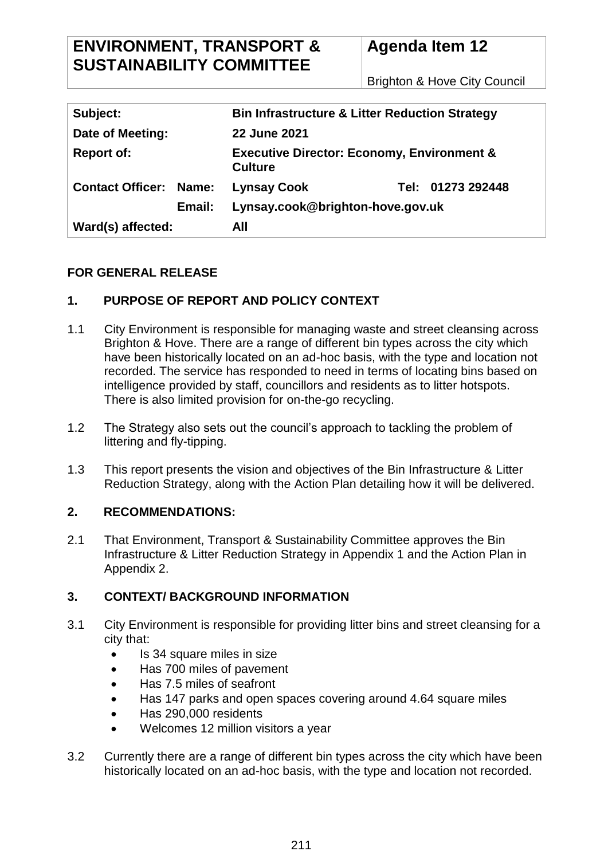# **ENVIRONMENT, TRANSPORT & SUSTAINABILITY COMMITTEE**

# **Agenda Item 12**

Brighton & Hove City Council

| Subject:                      | <b>Bin Infrastructure &amp; Litter Reduction Strategy</b>               |  |
|-------------------------------|-------------------------------------------------------------------------|--|
| Date of Meeting:              | 22 June 2021                                                            |  |
| <b>Report of:</b>             | <b>Executive Director: Economy, Environment &amp;</b><br><b>Culture</b> |  |
| <b>Contact Officer: Name:</b> | Tel: 01273 292448<br><b>Lynsay Cook</b>                                 |  |
| Email:                        | Lynsay.cook@brighton-hove.gov.uk                                        |  |
| Ward(s) affected:             | All                                                                     |  |

# **FOR GENERAL RELEASE**

# **1. PURPOSE OF REPORT AND POLICY CONTEXT**

- 1.1 City Environment is responsible for managing waste and street cleansing across Brighton & Hove. There are a range of different bin types across the city which have been historically located on an ad-hoc basis, with the type and location not recorded. The service has responded to need in terms of locating bins based on intelligence provided by staff, councillors and residents as to litter hotspots. There is also limited provision for on-the-go recycling.
- 1.2 The Strategy also sets out the council's approach to tackling the problem of littering and fly-tipping.
- 1.3 This report presents the vision and objectives of the Bin Infrastructure & Litter Reduction Strategy, along with the Action Plan detailing how it will be delivered.

## **2. RECOMMENDATIONS:**

2.1 That Environment, Transport & Sustainability Committee approves the Bin Infrastructure & Litter Reduction Strategy in Appendix 1 and the Action Plan in Appendix 2.

## **3. CONTEXT/ BACKGROUND INFORMATION**

- 3.1 City Environment is responsible for providing litter bins and street cleansing for a city that:
	- Is 34 square miles in size
	- Has 700 miles of pavement
	- Has 7.5 miles of seafront
	- Has 147 parks and open spaces covering around 4.64 square miles
	- Has 290,000 residents
	- Welcomes 12 million visitors a year
- 3.2 Currently there are a range of different bin types across the city which have been historically located on an ad-hoc basis, with the type and location not recorded.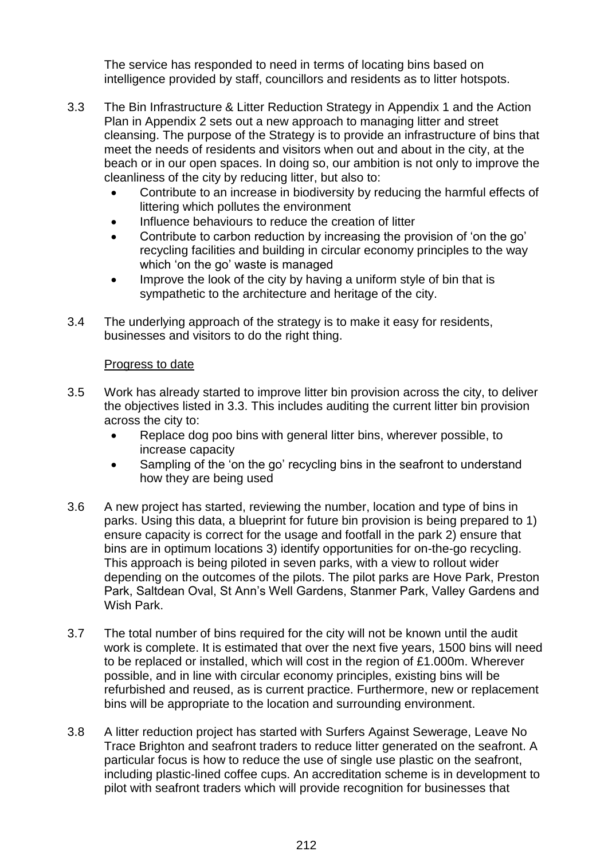The service has responded to need in terms of locating bins based on intelligence provided by staff, councillors and residents as to litter hotspots.

- 3.3 The Bin Infrastructure & Litter Reduction Strategy in Appendix 1 and the Action Plan in Appendix 2 sets out a new approach to managing litter and street cleansing. The purpose of the Strategy is to provide an infrastructure of bins that meet the needs of residents and visitors when out and about in the city, at the beach or in our open spaces. In doing so, our ambition is not only to improve the cleanliness of the city by reducing litter, but also to:
	- Contribute to an increase in biodiversity by reducing the harmful effects of littering which pollutes the environment
	- Influence behaviours to reduce the creation of litter
	- Contribute to carbon reduction by increasing the provision of 'on the go' recycling facilities and building in circular economy principles to the way which 'on the go' waste is managed
	- Improve the look of the city by having a uniform style of bin that is sympathetic to the architecture and heritage of the city.
- 3.4 The underlying approach of the strategy is to make it easy for residents, businesses and visitors to do the right thing.

#### Progress to date

- 3.5 Work has already started to improve litter bin provision across the city, to deliver the objectives listed in 3.3. This includes auditing the current litter bin provision across the city to:
	- Replace dog poo bins with general litter bins, wherever possible, to increase capacity
	- Sampling of the 'on the go' recycling bins in the seafront to understand how they are being used
- 3.6 A new project has started, reviewing the number, location and type of bins in parks. Using this data, a blueprint for future bin provision is being prepared to 1) ensure capacity is correct for the usage and footfall in the park 2) ensure that bins are in optimum locations 3) identify opportunities for on-the-go recycling. This approach is being piloted in seven parks, with a view to rollout wider depending on the outcomes of the pilots. The pilot parks are Hove Park, Preston Park, Saltdean Oval, St Ann's Well Gardens, Stanmer Park, Valley Gardens and Wish Park.
- 3.7 The total number of bins required for the city will not be known until the audit work is complete. It is estimated that over the next five years, 1500 bins will need to be replaced or installed, which will cost in the region of £1.000m. Wherever possible, and in line with circular economy principles, existing bins will be refurbished and reused, as is current practice. Furthermore, new or replacement bins will be appropriate to the location and surrounding environment.
- 3.8 A litter reduction project has started with Surfers Against Sewerage, Leave No Trace Brighton and seafront traders to reduce litter generated on the seafront. A particular focus is how to reduce the use of single use plastic on the seafront, including plastic-lined coffee cups. An accreditation scheme is in development to pilot with seafront traders which will provide recognition for businesses that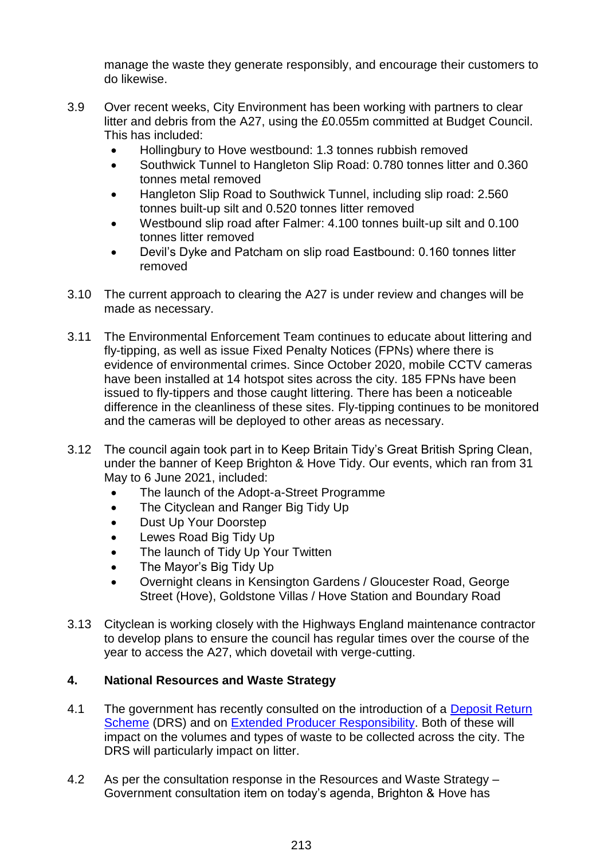manage the waste they generate responsibly, and encourage their customers to do likewise.

- 3.9 Over recent weeks, City Environment has been working with partners to clear litter and debris from the A27, using the £0.055m committed at Budget Council. This has included:
	- Hollingbury to Hove westbound: 1.3 tonnes rubbish removed
	- Southwick Tunnel to Hangleton Slip Road: 0.780 tonnes litter and 0.360 tonnes metal removed
	- Hangleton Slip Road to Southwick Tunnel, including slip road: 2.560 tonnes built-up silt and 0.520 tonnes litter removed
	- Westbound slip road after Falmer: 4.100 tonnes built-up silt and 0.100 tonnes litter removed
	- Devil's Dyke and Patcham on slip road Eastbound: 0.160 tonnes litter removed
- 3.10 The current approach to clearing the A27 is under review and changes will be made as necessary.
- 3.11 The Environmental Enforcement Team continues to educate about littering and fly-tipping, as well as issue Fixed Penalty Notices (FPNs) where there is evidence of environmental crimes. Since October 2020, mobile CCTV cameras have been installed at 14 hotspot sites across the city. 185 FPNs have been issued to fly-tippers and those caught littering. There has been a noticeable difference in the cleanliness of these sites. Fly-tipping continues to be monitored and the cameras will be deployed to other areas as necessary.
- 3.12 The council again took part in to Keep Britain Tidy's Great British Spring Clean, under the banner of Keep Brighton & Hove Tidy. Our events, which ran from 31 May to 6 June 2021, included:
	- The launch of the Adopt-a-Street Programme
	- The Cityclean and Ranger Big Tidy Up
	- Dust Up Your Doorstep
	- Lewes Road Big Tidy Up
	- The launch of Tidy Up Your Twitten
	- The Mayor's Big Tidy Up
	- Overnight cleans in Kensington Gardens / Gloucester Road, George Street (Hove), Goldstone Villas / Hove Station and Boundary Road
- 3.13 Cityclean is working closely with the Highways England maintenance contractor to develop plans to ensure the council has regular times over the course of the year to access the A27, which dovetail with verge-cutting.

## **4. National Resources and Waste Strategy**

- 4.1 The government has recently consulted on the introduction of a Deposit Return [Scheme](https://consult.defra.gov.uk/environment/consultation-on-introducing-a-drs/) (DRS) and on [Extended Producer Responsibility.](https://consult.defra.gov.uk/extended-producer-responsibility/extended-producer-responsibility-for-packaging/) Both of these will impact on the volumes and types of waste to be collected across the city. The DRS will particularly impact on litter.
- 4.2 As per the consultation response in the Resources and Waste Strategy Government consultation item on today's agenda, Brighton & Hove has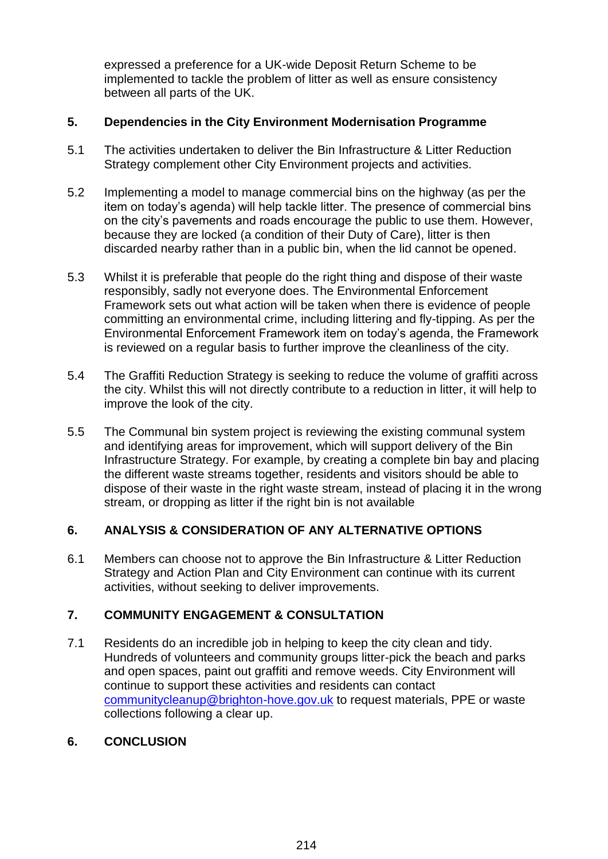expressed a preference for a UK-wide Deposit Return Scheme to be implemented to tackle the problem of litter as well as ensure consistency between all parts of the UK.

#### **5. Dependencies in the City Environment Modernisation Programme**

- 5.1 The activities undertaken to deliver the Bin Infrastructure & Litter Reduction Strategy complement other City Environment projects and activities.
- 5.2 Implementing a model to manage commercial bins on the highway (as per the item on today's agenda) will help tackle litter. The presence of commercial bins on the city's pavements and roads encourage the public to use them. However, because they are locked (a condition of their Duty of Care), litter is then discarded nearby rather than in a public bin, when the lid cannot be opened.
- 5.3 Whilst it is preferable that people do the right thing and dispose of their waste responsibly, sadly not everyone does. The Environmental Enforcement Framework sets out what action will be taken when there is evidence of people committing an environmental crime, including littering and fly-tipping. As per the Environmental Enforcement Framework item on today's agenda, the Framework is reviewed on a regular basis to further improve the cleanliness of the city.
- 5.4 The Graffiti Reduction Strategy is seeking to reduce the volume of graffiti across the city. Whilst this will not directly contribute to a reduction in litter, it will help to improve the look of the city.
- 5.5 The Communal bin system project is reviewing the existing communal system and identifying areas for improvement, which will support delivery of the Bin Infrastructure Strategy. For example, by creating a complete bin bay and placing the different waste streams together, residents and visitors should be able to dispose of their waste in the right waste stream, instead of placing it in the wrong stream, or dropping as litter if the right bin is not available

## **6. ANALYSIS & CONSIDERATION OF ANY ALTERNATIVE OPTIONS**

6.1 Members can choose not to approve the Bin Infrastructure & Litter Reduction Strategy and Action Plan and City Environment can continue with its current activities, without seeking to deliver improvements.

## **7. COMMUNITY ENGAGEMENT & CONSULTATION**

7.1 Residents do an incredible job in helping to keep the city clean and tidy. Hundreds of volunteers and community groups litter-pick the beach and parks and open spaces, paint out graffiti and remove weeds. City Environment will continue to support these activities and residents can contact [communitycleanup@brighton-hove.gov.uk](mailto:communitycleanup@brighton-hove.gov.uk) to request materials, PPE or waste collections following a clear up.

## **6. CONCLUSION**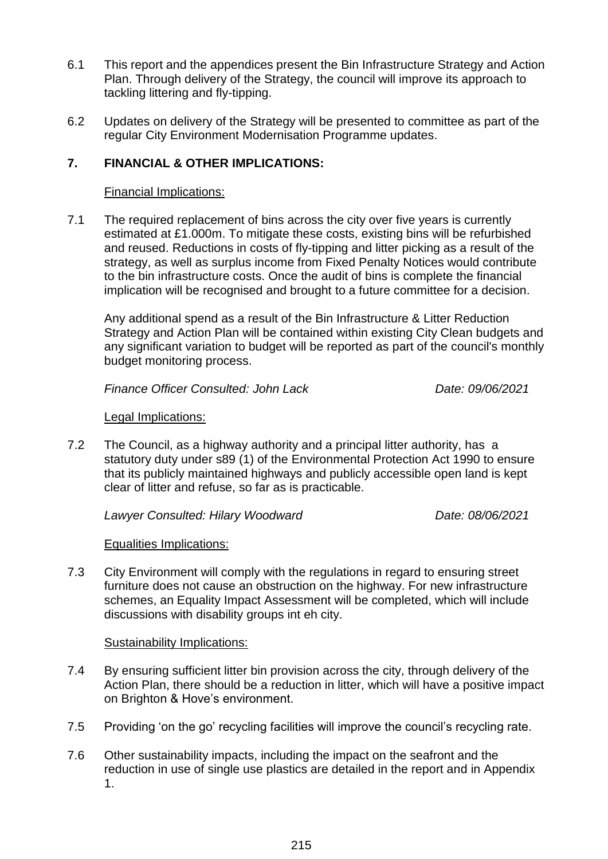- 6.1 This report and the appendices present the Bin Infrastructure Strategy and Action Plan. Through delivery of the Strategy, the council will improve its approach to tackling littering and fly-tipping.
- 6.2 Updates on delivery of the Strategy will be presented to committee as part of the regular City Environment Modernisation Programme updates.

## **7. FINANCIAL & OTHER IMPLICATIONS:**

#### Financial Implications:

7.1 The required replacement of bins across the city over five years is currently estimated at £1.000m. To mitigate these costs, existing bins will be refurbished and reused. Reductions in costs of fly-tipping and litter picking as a result of the strategy, as well as surplus income from Fixed Penalty Notices would contribute to the bin infrastructure costs. Once the audit of bins is complete the financial implication will be recognised and brought to a future committee for a decision.

Any additional spend as a result of the Bin Infrastructure & Litter Reduction Strategy and Action Plan will be contained within existing City Clean budgets and any significant variation to budget will be reported as part of the council's monthly budget monitoring process.

*Finance Officer Consulted: John Lack Date: 09/06/2021*

#### Legal Implications:

7.2 The Council, as a highway authority and a principal litter authority, has a statutory duty under s89 (1) of the Environmental Protection Act 1990 to ensure that its publicly maintained highways and publicly accessible open land is kept clear of litter and refuse, so far as is practicable.

*Lawyer Consulted: Hilary Woodward Date: 08/06/2021*

## Equalities Implications:

7.3 City Environment will comply with the regulations in regard to ensuring street furniture does not cause an obstruction on the highway. For new infrastructure schemes, an Equality Impact Assessment will be completed, which will include discussions with disability groups int eh city.

#### Sustainability Implications:

- 7.4 By ensuring sufficient litter bin provision across the city, through delivery of the Action Plan, there should be a reduction in litter, which will have a positive impact on Brighton & Hove's environment.
- 7.5 Providing 'on the go' recycling facilities will improve the council's recycling rate.
- 7.6 Other sustainability impacts, including the impact on the seafront and the reduction in use of single use plastics are detailed in the report and in Appendix 1.